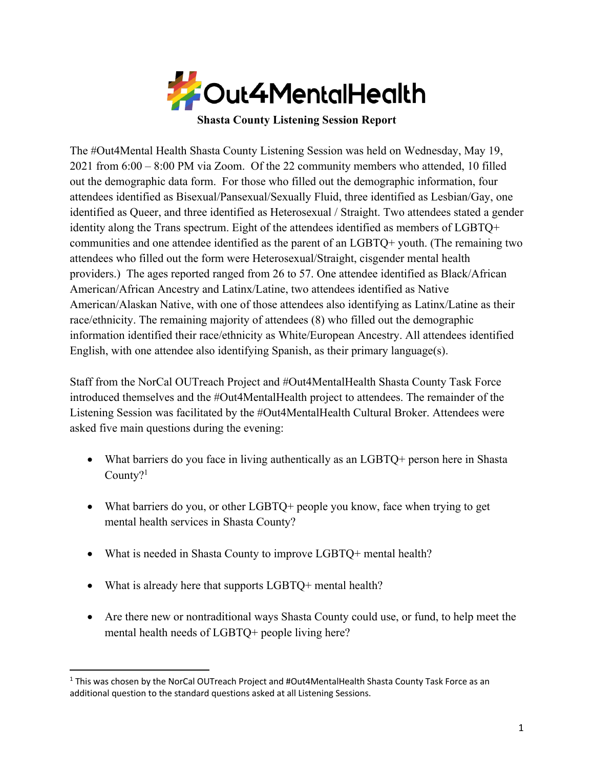

**Shasta County Listening Session Report**

The #Out4Mental Health Shasta County Listening Session was held on Wednesday, May 19, 2021 from 6:00 – 8:00 PM via Zoom. Of the 22 community members who attended, 10 filled out the demographic data form. For those who filled out the demographic information, four attendees identified as Bisexual/Pansexual/Sexually Fluid, three identified as Lesbian/Gay, one identified as Queer, and three identified as Heterosexual / Straight. Two attendees stated a gender identity along the Trans spectrum. Eight of the attendees identified as members of LGBTQ+ communities and one attendee identified as the parent of an LGBTQ+ youth. (The remaining two attendees who filled out the form were Heterosexual/Straight, cisgender mental health providers.) The ages reported ranged from 26 to 57. One attendee identified as Black/African American/African Ancestry and Latinx/Latine, two attendees identified as Native American/Alaskan Native, with one of those attendees also identifying as Latinx/Latine as their race/ethnicity. The remaining majority of attendees (8) who filled out the demographic information identified their race/ethnicity as White/European Ancestry. All attendees identified English, with one attendee also identifying Spanish, as their primary language(s).

Staff from the NorCal OUTreach Project and #Out4MentalHealth Shasta County Task Force introduced themselves and the #Out4MentalHealth project to attendees. The remainder of the Listening Session was facilitated by the #Out4MentalHealth Cultural Broker. Attendees were asked five main questions during the evening:

- What barriers do you face in living authentically as an LGBTQ+ person here in Shasta County?1
- What barriers do you, or other LGBTQ+ people you know, face when trying to get mental health services in Shasta County?
- What is needed in Shasta County to improve LGBTQ+ mental health?
- What is already here that supports LGBTQ+ mental health?
- Are there new or nontraditional ways Shasta County could use, or fund, to help meet the mental health needs of LGBTQ+ people living here?

 $1$  This was chosen by the NorCal OUTreach Project and #Out4MentalHealth Shasta County Task Force as an additional question to the standard questions asked at all Listening Sessions.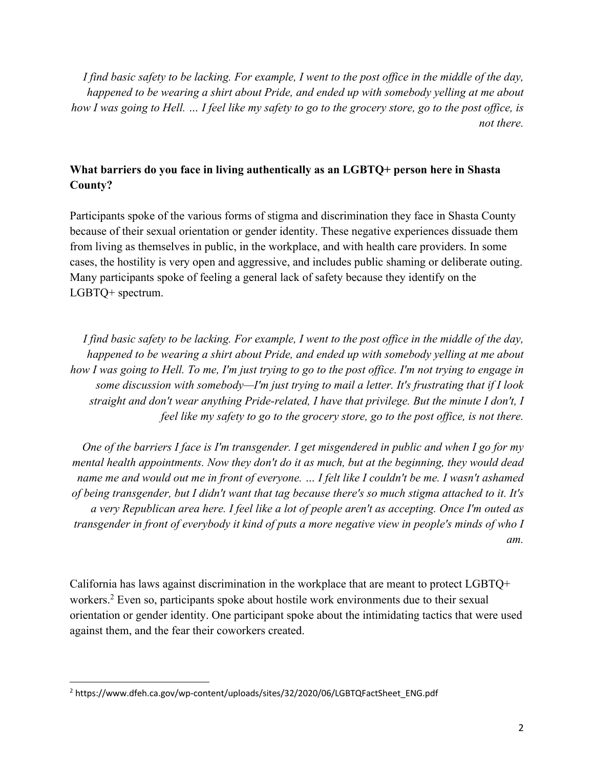*I find basic safety to be lacking. For example, I went to the post office in the middle of the day, happened to be wearing a shirt about Pride, and ended up with somebody yelling at me about how I was going to Hell. … I feel like my safety to go to the grocery store, go to the post office, is not there.*

# **What barriers do you face in living authentically as an LGBTQ+ person here in Shasta County?**

Participants spoke of the various forms of stigma and discrimination they face in Shasta County because of their sexual orientation or gender identity. These negative experiences dissuade them from living as themselves in public, in the workplace, and with health care providers. In some cases, the hostility is very open and aggressive, and includes public shaming or deliberate outing. Many participants spoke of feeling a general lack of safety because they identify on the LGBTQ+ spectrum.

*I find basic safety to be lacking. For example, I went to the post office in the middle of the day, happened to be wearing a shirt about Pride, and ended up with somebody yelling at me about*  how I was going to Hell. To me, I'm just trying to go to the post office. I'm not trying to engage in *some discussion with somebody—I'm just trying to mail a letter. It's frustrating that if I look straight and don't wear anything Pride-related, I have that privilege. But the minute I don't, I feel like my safety to go to the grocery store, go to the post office, is not there.*

*One of the barriers I face is I'm transgender. I get misgendered in public and when I go for my mental health appointments. Now they don't do it as much, but at the beginning, they would dead name me and would out me in front of everyone. … I felt like I couldn't be me. I wasn't ashamed of being transgender, but I didn't want that tag because there's so much stigma attached to it. It's a very Republican area here. I feel like a lot of people aren't as accepting. Once I'm outed as transgender in front of everybody it kind of puts a more negative view in people's minds of who I am.*

California has laws against discrimination in the workplace that are meant to protect LGBTQ+ workers.<sup>2</sup> Even so, participants spoke about hostile work environments due to their sexual orientation or gender identity. One participant spoke about the intimidating tactics that were used against them, and the fear their coworkers created.

<sup>2</sup> https://www.dfeh.ca.gov/wp-content/uploads/sites/32/2020/06/LGBTQFactSheet\_ENG.pdf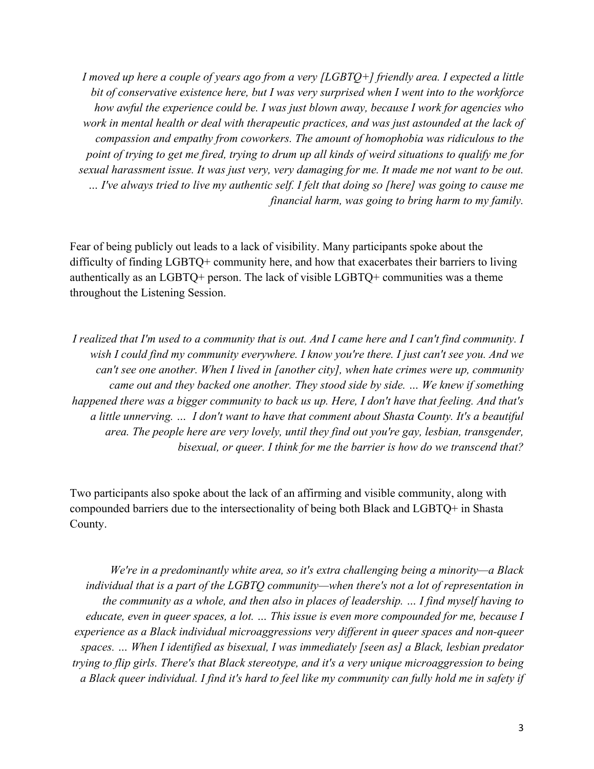*I moved up here a couple of years ago from a very [LGBTQ+] friendly area. I expected a little bit of conservative existence here, but I was very surprised when I went into to the workforce how awful the experience could be. I was just blown away, because I work for agencies who work in mental health or deal with therapeutic practices, and was just astounded at the lack of compassion and empathy from coworkers. The amount of homophobia was ridiculous to the point of trying to get me fired, trying to drum up all kinds of weird situations to qualify me for sexual harassment issue. It was just very, very damaging for me. It made me not want to be out. … I've always tried to live my authentic self. I felt that doing so [here] was going to cause me financial harm, was going to bring harm to my family.*

Fear of being publicly out leads to a lack of visibility. Many participants spoke about the difficulty of finding LGBTQ+ community here, and how that exacerbates their barriers to living authentically as an LGBTQ+ person. The lack of visible LGBTQ+ communities was a theme throughout the Listening Session.

*I realized that I'm used to a community that is out. And I came here and I can't find community. I wish I could find my community everywhere. I know you're there. I just can't see you. And we can't see one another. When I lived in [another city], when hate crimes were up, community came out and they backed one another. They stood side by side. … We knew if something happened there was a bigger community to back us up. Here, I don't have that feeling. And that's a little unnerving. … I don't want to have that comment about Shasta County. It's a beautiful area. The people here are very lovely, until they find out you're gay, lesbian, transgender, bisexual, or queer. I think for me the barrier is how do we transcend that?*

Two participants also spoke about the lack of an affirming and visible community, along with compounded barriers due to the intersectionality of being both Black and LGBTQ+ in Shasta County.

*We're in a predominantly white area, so it's extra challenging being a minority—a Black individual that is a part of the LGBTQ community—when there's not a lot of representation in the community as a whole, and then also in places of leadership. … I find myself having to educate, even in queer spaces, a lot. … This issue is even more compounded for me, because I experience as a Black individual microaggressions very different in queer spaces and non-queer spaces. … When I identified as bisexual, I was immediately [seen as] a Black, lesbian predator trying to flip girls. There's that Black stereotype, and it's a very unique microaggression to being a Black queer individual. I find it's hard to feel like my community can fully hold me in safety if*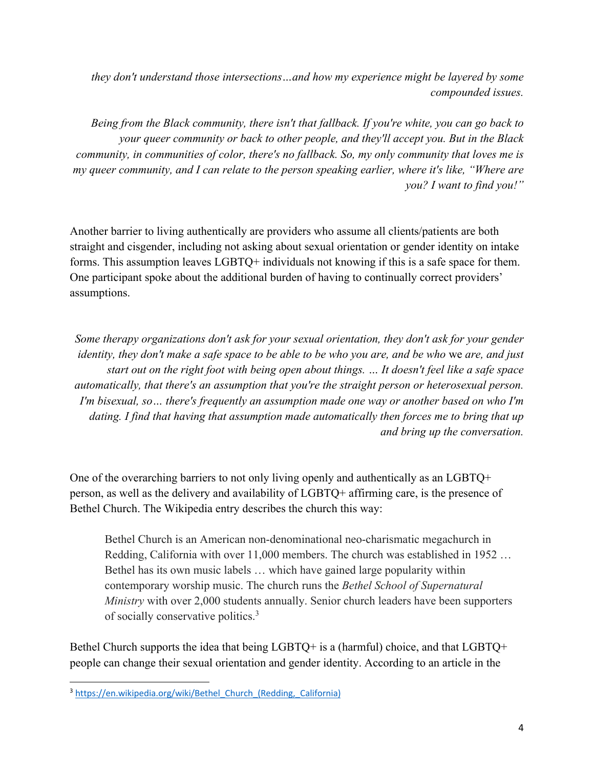*they don't understand those intersections…and how my experience might be layered by some compounded issues.*

*Being from the Black community, there isn't that fallback. If you're white, you can go back to your queer community or back to other people, and they'll accept you. But in the Black community, in communities of color, there's no fallback. So, my only community that loves me is my queer community, and I can relate to the person speaking earlier, where it's like, "Where are you? I want to find you!"*

Another barrier to living authentically are providers who assume all clients/patients are both straight and cisgender, including not asking about sexual orientation or gender identity on intake forms. This assumption leaves LGBTQ+ individuals not knowing if this is a safe space for them. One participant spoke about the additional burden of having to continually correct providers' assumptions.

*Some therapy organizations don't ask for your sexual orientation, they don't ask for your gender identity, they don't make a safe space to be able to be who you are, and be who* we *are, and just start out on the right foot with being open about things. … It doesn't feel like a safe space automatically, that there's an assumption that you're the straight person or heterosexual person. I'm bisexual, so… there's frequently an assumption made one way or another based on who I'm dating. I find that having that assumption made automatically then forces me to bring that up and bring up the conversation.*

One of the overarching barriers to not only living openly and authentically as an LGBTQ+ person, as well as the delivery and availability of LGBTQ+ affirming care, is the presence of Bethel Church. The Wikipedia entry describes the church this way:

Bethel Church is an American non-denominational neo-charismatic megachurch in Redding, California with over 11,000 members. The church was established in 1952 … Bethel has its own music labels … which have gained large popularity within contemporary worship music. The church runs the *Bethel School of Supernatural Ministry* with over 2,000 students annually. Senior church leaders have been supporters of socially conservative politics.<sup>3</sup>

Bethel Church supports the idea that being LGBTQ+ is a (harmful) choice, and that LGBTQ+ people can change their sexual orientation and gender identity. According to an article in the

<sup>&</sup>lt;sup>3</sup> https://en.wikipedia.org/wiki/Bethel Church (Redding, California)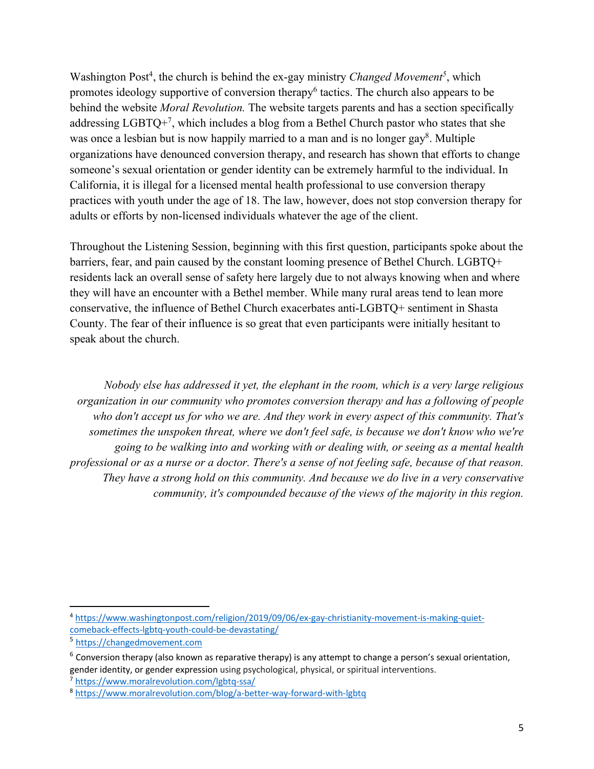Washington Post<sup>4</sup>, the church is behind the ex-gay ministry *Changed Movement*<sup>5</sup>, which promotes ideology supportive of conversion therapy<sup>6</sup> tactics. The church also appears to be behind the website *Moral Revolution.* The website targets parents and has a section specifically addressing LGBTQ+7, which includes a blog from a Bethel Church pastor who states that she was once a lesbian but is now happily married to a man and is no longer gay<sup>8</sup>. Multiple organizations have denounced conversion therapy, and research has shown that efforts to change someone's sexual orientation or gender identity can be extremely harmful to the individual. In California, it is illegal for a licensed mental health professional to use conversion therapy practices with youth under the age of 18. The law, however, does not stop conversion therapy for adults or efforts by non-licensed individuals whatever the age of the client.

Throughout the Listening Session, beginning with this first question, participants spoke about the barriers, fear, and pain caused by the constant looming presence of Bethel Church. LGBTQ+ residents lack an overall sense of safety here largely due to not always knowing when and where they will have an encounter with a Bethel member. While many rural areas tend to lean more conservative, the influence of Bethel Church exacerbates anti-LGBTQ+ sentiment in Shasta County. The fear of their influence is so great that even participants were initially hesitant to speak about the church.

*Nobody else has addressed it yet, the elephant in the room, which is a very large religious organization in our community who promotes conversion therapy and has a following of people who don't accept us for who we are. And they work in every aspect of this community. That's sometimes the unspoken threat, where we don't feel safe, is because we don't know who we're going to be walking into and working with or dealing with, or seeing as a mental health professional or as a nurse or a doctor. There's a sense of not feeling safe, because of that reason. They have a strong hold on this community. And because we do live in a very conservative community, it's compounded because of the views of the majority in this region.*

<sup>4</sup> https://www.washingtonpost.com/religion/2019/09/06/ex-gay-christianity-movement-is-making-quietcomeback-effects-lgbtq-youth-could-be-devastating/

<sup>5</sup> https://changedmovement.com

 $6$  Conversion therapy (also known as reparative therapy) is any attempt to change a person's sexual orientation, gender identity, or gender expression using psychological, physical, or spiritual interventions. <sup>7</sup> https://www.moralrevolution.com/lgbtq-ssa/

<sup>8</sup> https://www.moralrevolution.com/blog/a-better-way-forward-with-lgbtq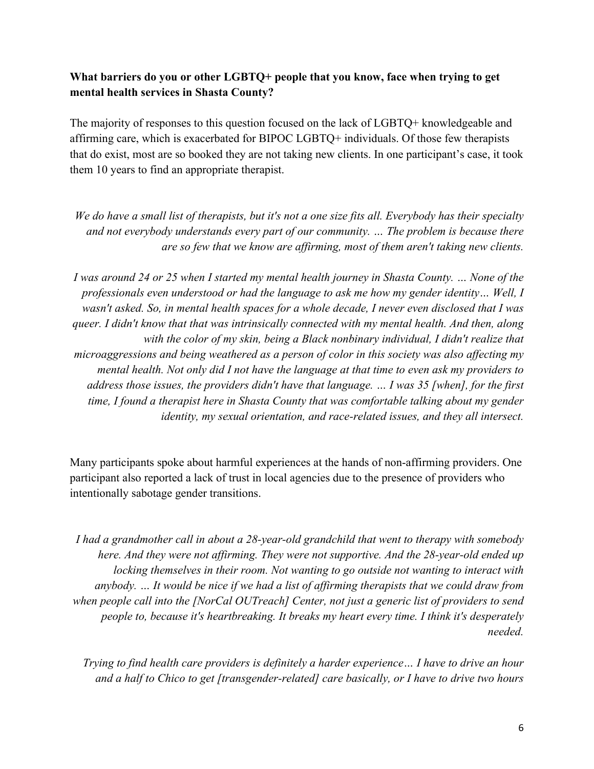# **What barriers do you or other LGBTQ+ people that you know, face when trying to get mental health services in Shasta County?**

The majority of responses to this question focused on the lack of LGBTQ+ knowledgeable and affirming care, which is exacerbated for BIPOC LGBTQ+ individuals. Of those few therapists that do exist, most are so booked they are not taking new clients. In one participant's case, it took them 10 years to find an appropriate therapist.

*We do have a small list of therapists, but it's not a one size fits all. Everybody has their specialty and not everybody understands every part of our community. … The problem is because there are so few that we know are affirming, most of them aren't taking new clients.*

*I was around 24 or 25 when I started my mental health journey in Shasta County. … None of the professionals even understood or had the language to ask me how my gender identity… Well, I wasn't asked. So, in mental health spaces for a whole decade, I never even disclosed that I was queer. I didn't know that that was intrinsically connected with my mental health. And then, along*  with the color of my skin, being a Black nonbinary individual, I didn't realize that *microaggressions and being weathered as a person of color in this society was also affecting my mental health. Not only did I not have the language at that time to even ask my providers to address those issues, the providers didn't have that language. … I was 35 [when], for the first time, I found a therapist here in Shasta County that was comfortable talking about my gender identity, my sexual orientation, and race-related issues, and they all intersect.*

Many participants spoke about harmful experiences at the hands of non-affirming providers. One participant also reported a lack of trust in local agencies due to the presence of providers who intentionally sabotage gender transitions.

*I had a grandmother call in about a 28-year-old grandchild that went to therapy with somebody here. And they were not affirming. They were not supportive. And the 28-year-old ended up locking themselves in their room. Not wanting to go outside not wanting to interact with anybody. … It would be nice if we had a list of affirming therapists that we could draw from when people call into the [NorCal OUTreach] Center, not just a generic list of providers to send people to, because it's heartbreaking. It breaks my heart every time. I think it's desperately needed.*

*Trying to find health care providers is definitely a harder experience… I have to drive an hour and a half to Chico to get [transgender-related] care basically, or I have to drive two hours*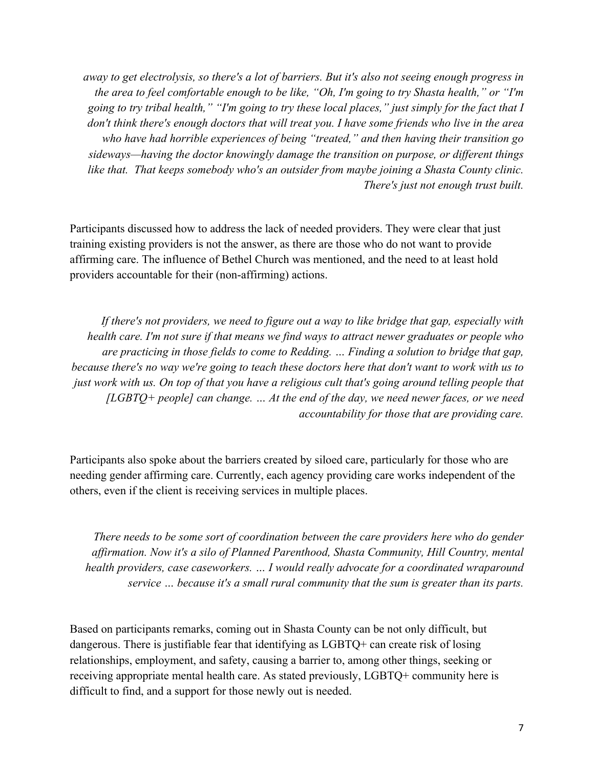*away to get electrolysis, so there's a lot of barriers. But it's also not seeing enough progress in the area to feel comfortable enough to be like, "Oh, I'm going to try Shasta health," or "I'm going to try tribal health," "I'm going to try these local places," just simply for the fact that I don't think there's enough doctors that will treat you. I have some friends who live in the area who have had horrible experiences of being "treated," and then having their transition go sideways—having the doctor knowingly damage the transition on purpose, or different things like that. That keeps somebody who's an outsider from maybe joining a Shasta County clinic. There's just not enough trust built.*

Participants discussed how to address the lack of needed providers. They were clear that just training existing providers is not the answer, as there are those who do not want to provide affirming care. The influence of Bethel Church was mentioned, and the need to at least hold providers accountable for their (non-affirming) actions.

*If there's not providers, we need to figure out a way to like bridge that gap, especially with health care. I'm not sure if that means we find ways to attract newer graduates or people who are practicing in those fields to come to Redding. … Finding a solution to bridge that gap, because there's no way we're going to teach these doctors here that don't want to work with us to just work with us. On top of that you have a religious cult that's going around telling people that [LGBTQ+ people] can change. … At the end of the day, we need newer faces, or we need accountability for those that are providing care.*

Participants also spoke about the barriers created by siloed care, particularly for those who are needing gender affirming care. Currently, each agency providing care works independent of the others, even if the client is receiving services in multiple places.

*There needs to be some sort of coordination between the care providers here who do gender affirmation. Now it's a silo of Planned Parenthood, Shasta Community, Hill Country, mental health providers, case caseworkers. … I would really advocate for a coordinated wraparound service … because it's a small rural community that the sum is greater than its parts.*

Based on participants remarks, coming out in Shasta County can be not only difficult, but dangerous. There is justifiable fear that identifying as LGBTQ+ can create risk of losing relationships, employment, and safety, causing a barrier to, among other things, seeking or receiving appropriate mental health care. As stated previously, LGBTQ+ community here is difficult to find, and a support for those newly out is needed.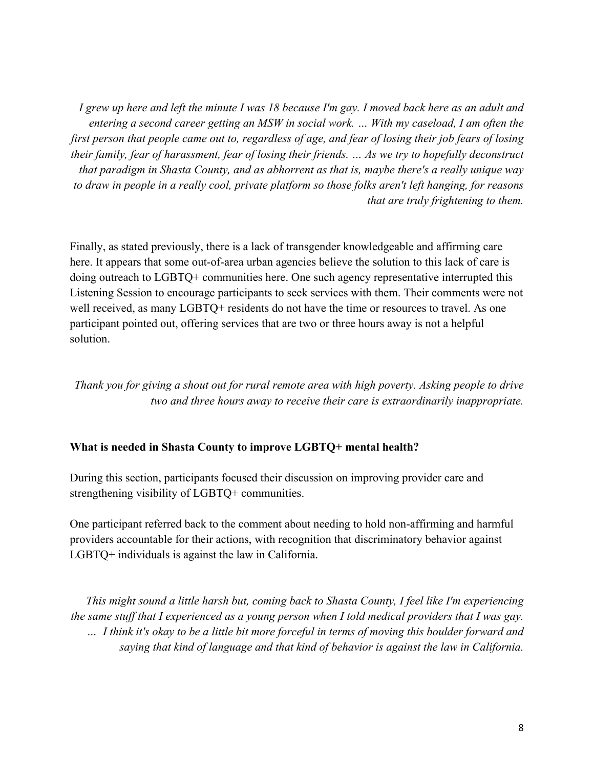*I grew up here and left the minute I was 18 because I'm gay. I moved back here as an adult and entering a second career getting an MSW in social work. … With my caseload, I am often the first person that people came out to, regardless of age, and fear of losing their job fears of losing their family, fear of harassment, fear of losing their friends. … As we try to hopefully deconstruct that paradigm in Shasta County, and as abhorrent as that is, maybe there's a really unique way to draw in people in a really cool, private platform so those folks aren't left hanging, for reasons that are truly frightening to them.*

Finally, as stated previously, there is a lack of transgender knowledgeable and affirming care here. It appears that some out-of-area urban agencies believe the solution to this lack of care is doing outreach to LGBTQ+ communities here. One such agency representative interrupted this Listening Session to encourage participants to seek services with them. Their comments were not well received, as many LGBTQ+ residents do not have the time or resources to travel. As one participant pointed out, offering services that are two or three hours away is not a helpful solution.

*Thank you for giving a shout out for rural remote area with high poverty. Asking people to drive two and three hours away to receive their care is extraordinarily inappropriate.*

#### **What is needed in Shasta County to improve LGBTQ+ mental health?**

During this section, participants focused their discussion on improving provider care and strengthening visibility of LGBTQ+ communities.

One participant referred back to the comment about needing to hold non-affirming and harmful providers accountable for their actions, with recognition that discriminatory behavior against LGBTQ+ individuals is against the law in California.

*This might sound a little harsh but, coming back to Shasta County, I feel like I'm experiencing the same stuff that I experienced as a young person when I told medical providers that I was gay. … I think it's okay to be a little bit more forceful in terms of moving this boulder forward and saying that kind of language and that kind of behavior is against the law in California.*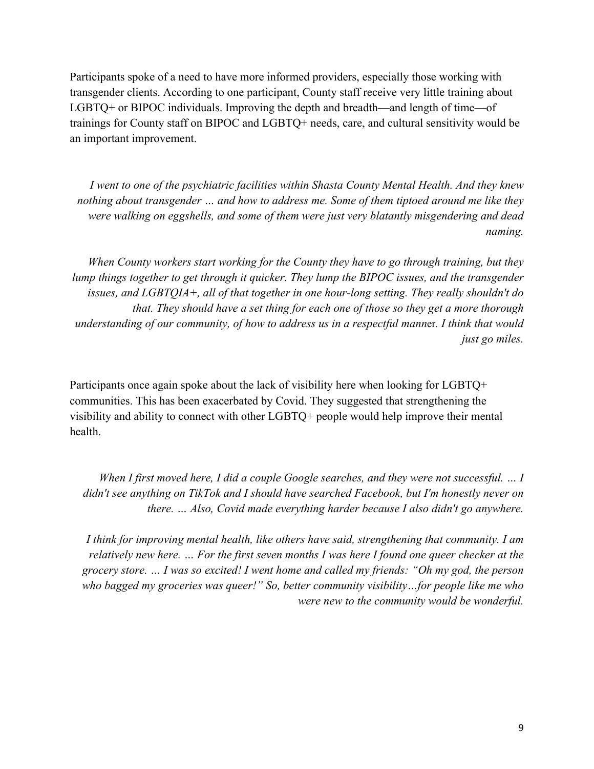Participants spoke of a need to have more informed providers, especially those working with transgender clients. According to one participant, County staff receive very little training about LGBTQ+ or BIPOC individuals. Improving the depth and breadth—and length of time—of trainings for County staff on BIPOC and LGBTQ+ needs, care, and cultural sensitivity would be an important improvement.

*I went to one of the psychiatric facilities within Shasta County Mental Health. And they knew nothing about transgender … and how to address me. Some of them tiptoed around me like they were walking on eggshells, and some of them were just very blatantly misgendering and dead naming.*

*When County workers start working for the County they have to go through training, but they lump things together to get through it quicker. They lump the BIPOC issues, and the transgender issues, and LGBTQIA+, all of that together in one hour-long setting. They really shouldn't do that. They should have a set thing for each one of those so they get a more thorough understanding of our community, of how to address us in a respectful mann*er*. I think that would just go miles.*

Participants once again spoke about the lack of visibility here when looking for LGBTQ+ communities. This has been exacerbated by Covid. They suggested that strengthening the visibility and ability to connect with other LGBTQ+ people would help improve their mental health.

*When I first moved here, I did a couple Google searches, and they were not successful. … I didn't see anything on TikTok and I should have searched Facebook, but I'm honestly never on there. … Also, Covid made everything harder because I also didn't go anywhere.*

*I think for improving mental health, like others have said, strengthening that community. I am relatively new here. … For the first seven months I was here I found one queer checker at the grocery store. … I was so excited! I went home and called my friends: "Oh my god, the person who bagged my groceries was queer!" So, better community visibility…for people like me who were new to the community would be wonderful.*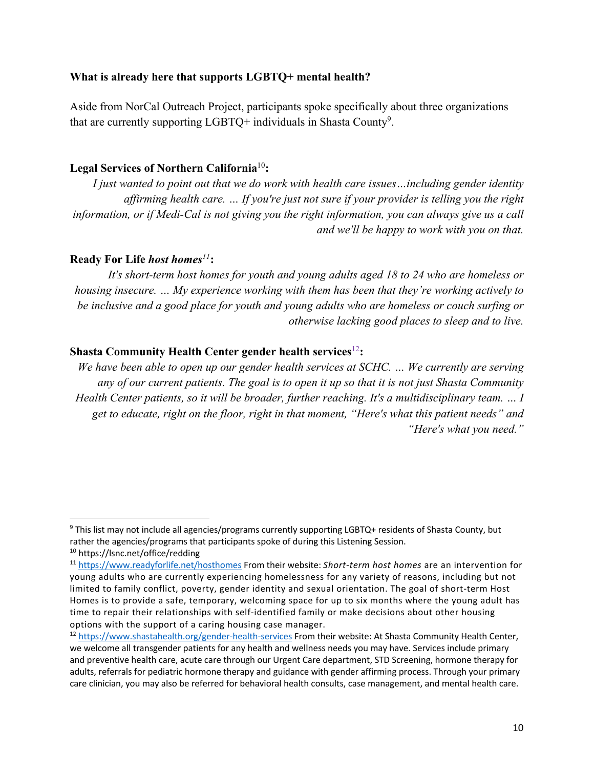### **What is already here that supports LGBTQ+ mental health?**

Aside from NorCal Outreach Project, participants spoke specifically about three organizations that are currently supporting  $LGBTQ$ + individuals in Shasta County<sup>9</sup>.

### **Legal Services of Northern California**<sup>10</sup>**:**

*I just wanted to point out that we do work with health care issues…including gender identity affirming health care. … If you're just not sure if your provider is telling you the right information, or if Medi-Cal is not giving you the right information, you can always give us a call and we'll be happy to work with you on that.*

### **Ready For Life** *host homes<sup>11</sup>***:**

*It's short-term host homes for youth and young adults aged 18 to 24 who are homeless or housing insecure. … My experience working with them has been that they're working actively to be inclusive and a good place for youth and young adults who are homeless or couch surfing or otherwise lacking good places to sleep and to live.*

### **Shasta Community Health Center gender health services**<sup>12</sup>**:**

*We have been able to open up our gender health services at SCHC. … We currently are serving any of our current patients. The goal is to open it up so that it is not just Shasta Community Health Center patients, so it will be broader, further reaching. It's a multidisciplinary team. … I get to educate, right on the floor, right in that moment, "Here's what this patient needs" and "Here's what you need."*

<sup>&</sup>lt;sup>9</sup> This list may not include all agencies/programs currently supporting LGBTQ+ residents of Shasta County, but rather the agencies/programs that participants spoke of during this Listening Session.

<sup>10</sup> https://lsnc.net/office/redding

<sup>11</sup> https://www.readyforlife.net/hosthomes From their website: *Short-term host homes* are an intervention for young adults who are currently experiencing homelessness for any variety of reasons, including but not limited to family conflict, poverty, gender identity and sexual orientation. The goal of short-term Host Homes is to provide a safe, temporary, welcoming space for up to six months where the young adult has time to repair their relationships with self-identified family or make decisions about other housing options with the support of a caring housing case manager.

<sup>&</sup>lt;sup>12</sup> https://www.shastahealth.org/gender-health-services From their website: At Shasta Community Health Center, we welcome all transgender patients for any health and wellness needs you may have. Services include primary and preventive health care, acute care through our Urgent Care department, STD Screening, hormone therapy for adults, referrals for pediatric hormone therapy and guidance with gender affirming process. Through your primary care clinician, you may also be referred for behavioral health consults, case management, and mental health care.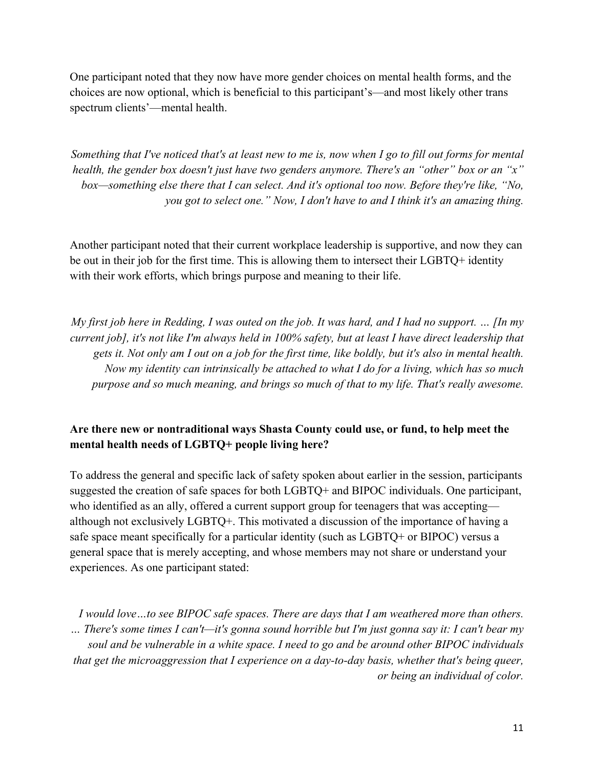One participant noted that they now have more gender choices on mental health forms, and the choices are now optional, which is beneficial to this participant's—and most likely other trans spectrum clients'—mental health.

*Something that I've noticed that's at least new to me is, now when I go to fill out forms for mental health, the gender box doesn't just have two genders anymore. There's an "other" box or an "x" box—something else there that I can select. And it's optional too now. Before they're like, "No, you got to select one." Now, I don't have to and I think it's an amazing thing.*

Another participant noted that their current workplace leadership is supportive, and now they can be out in their job for the first time. This is allowing them to intersect their LGBTQ+ identity with their work efforts, which brings purpose and meaning to their life.

*My first job here in Redding, I was outed on the job. It was hard, and I had no support. … [In my current job], it's not like I'm always held in 100% safety, but at least I have direct leadership that gets it. Not only am I out on a job for the first time, like boldly, but it's also in mental health. Now my identity can intrinsically be attached to what I do for a living, which has so much purpose and so much meaning, and brings so much of that to my life. That's really awesome.*

## **Are there new or nontraditional ways Shasta County could use, or fund, to help meet the mental health needs of LGBTQ+ people living here?**

To address the general and specific lack of safety spoken about earlier in the session, participants suggested the creation of safe spaces for both LGBTQ+ and BIPOC individuals. One participant, who identified as an ally, offered a current support group for teenagers that was accepting although not exclusively LGBTQ+. This motivated a discussion of the importance of having a safe space meant specifically for a particular identity (such as LGBTQ+ or BIPOC) versus a general space that is merely accepting, and whose members may not share or understand your experiences. As one participant stated:

*I would love…to see BIPOC safe spaces. There are days that I am weathered more than others. … There's some times I can't—it's gonna sound horrible but I'm just gonna say it: I can't bear my soul and be vulnerable in a white space. I need to go and be around other BIPOC individuals that get the microaggression that I experience on a day-to-day basis, whether that's being queer, or being an individual of color.*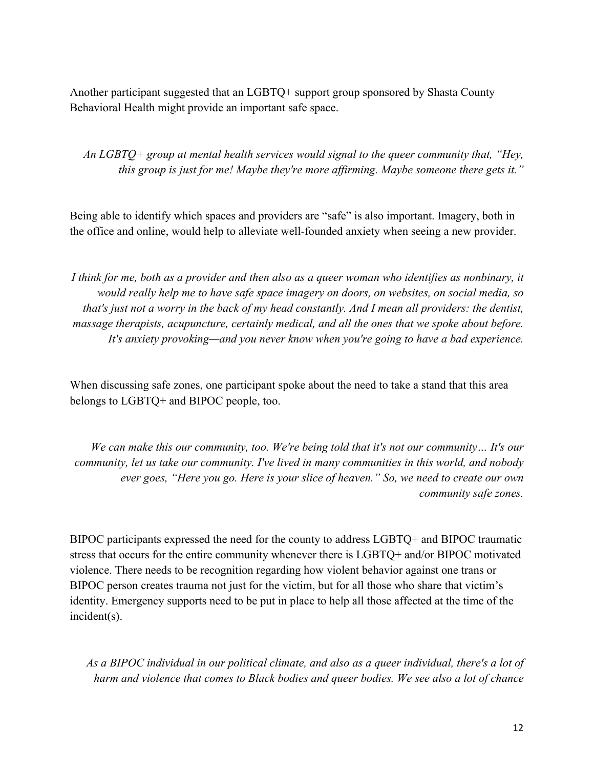Another participant suggested that an LGBTQ+ support group sponsored by Shasta County Behavioral Health might provide an important safe space.

*An LGBTQ+ group at mental health services would signal to the queer community that, "Hey, this group is just for me! Maybe they're more affirming. Maybe someone there gets it."*

Being able to identify which spaces and providers are "safe" is also important. Imagery, both in the office and online, would help to alleviate well-founded anxiety when seeing a new provider.

*I think for me, both as a provider and then also as a queer woman who identifies as nonbinary, it would really help me to have safe space imagery on doors, on websites, on social media, so that's just not a worry in the back of my head constantly. And I mean all providers: the dentist, massage therapists, acupuncture, certainly medical, and all the ones that we spoke about before. It's anxiety provoking—and you never know when you're going to have a bad experience.*

When discussing safe zones, one participant spoke about the need to take a stand that this area belongs to LGBTQ+ and BIPOC people, too.

*We can make this our community, too. We're being told that it's not our community… It's our community, let us take our community. I've lived in many communities in this world, and nobody ever goes, "Here you go. Here is your slice of heaven." So, we need to create our own community safe zones.*

BIPOC participants expressed the need for the county to address LGBTQ+ and BIPOC traumatic stress that occurs for the entire community whenever there is LGBTQ+ and/or BIPOC motivated violence. There needs to be recognition regarding how violent behavior against one trans or BIPOC person creates trauma not just for the victim, but for all those who share that victim's identity. Emergency supports need to be put in place to help all those affected at the time of the incident(s).

*As a BIPOC individual in our political climate, and also as a queer individual, there's a lot of harm and violence that comes to Black bodies and queer bodies. We see also a lot of chance*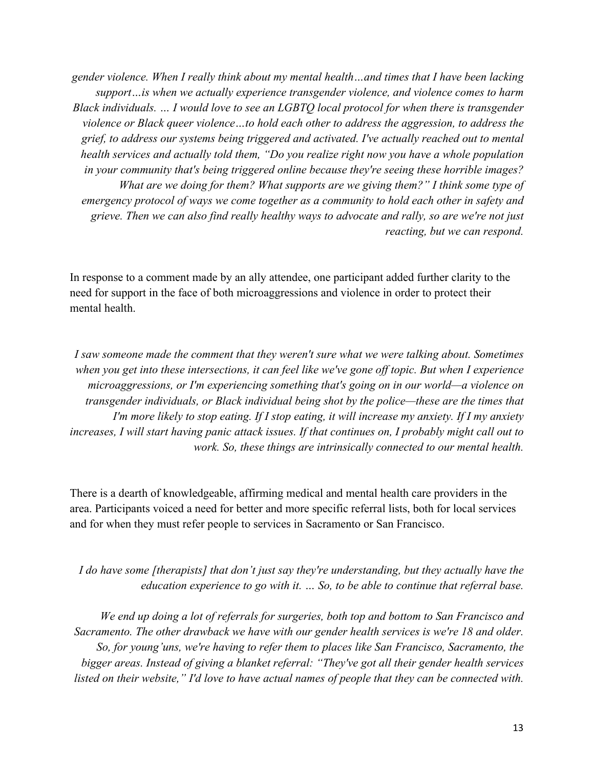*gender violence. When I really think about my mental health…and times that I have been lacking support…is when we actually experience transgender violence, and violence comes to harm Black individuals. … I would love to see an LGBTQ local protocol for when there is transgender violence or Black queer violence…to hold each other to address the aggression, to address the grief, to address our systems being triggered and activated. I've actually reached out to mental health services and actually told them, "Do you realize right now you have a whole population in your community that's being triggered online because they're seeing these horrible images? What are we doing for them? What supports are we giving them?" I think some type of emergency protocol of ways we come together as a community to hold each other in safety and grieve. Then we can also find really healthy ways to advocate and rally, so are we're not just reacting, but we can respond.*

In response to a comment made by an ally attendee, one participant added further clarity to the need for support in the face of both microaggressions and violence in order to protect their mental health.

*I saw someone made the comment that they weren't sure what we were talking about. Sometimes when you get into these intersections, it can feel like we've gone off topic. But when I experience microaggressions, or I'm experiencing something that's going on in our world—a violence on transgender individuals, or Black individual being shot by the police—these are the times that I'm more likely to stop eating. If I stop eating, it will increase my anxiety. If I my anxiety increases, I will start having panic attack issues. If that continues on, I probably might call out to work. So, these things are intrinsically connected to our mental health.*

There is a dearth of knowledgeable, affirming medical and mental health care providers in the area. Participants voiced a need for better and more specific referral lists, both for local services and for when they must refer people to services in Sacramento or San Francisco.

*I do have some [therapists] that don't just say they're understanding, but they actually have the education experience to go with it. … So, to be able to continue that referral base.* 

*We end up doing a lot of referrals for surgeries, both top and bottom to San Francisco and Sacramento. The other drawback we have with our gender health services is we're 18 and older. So, for young'uns, we're having to refer them to places like San Francisco, Sacramento, the bigger areas. Instead of giving a blanket referral: "They've got all their gender health services listed on their website," I'd love to have actual names of people that they can be connected with.*